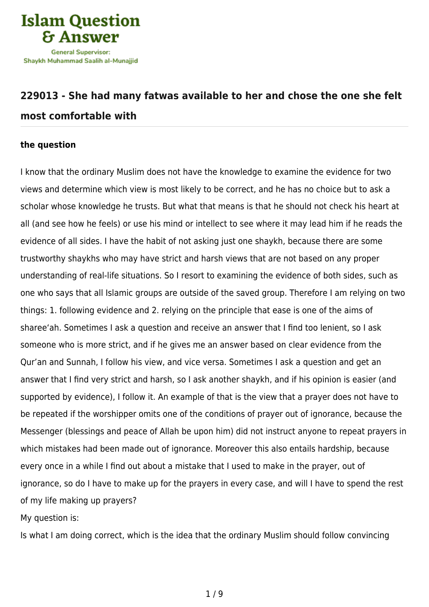

## **[229013 - She had many fatwas available to her and chose the one she felt](https://islamqa.com/en/answers/229013/she-had-many-fatwas-available-to-her-and-chose-the-one-she-felt-most-comfortable-with) [most comfortable with](https://islamqa.com/en/answers/229013/she-had-many-fatwas-available-to-her-and-chose-the-one-she-felt-most-comfortable-with)**

## **the question**

I know that the ordinary Muslim does not have the knowledge to examine the evidence for two views and determine which view is most likely to be correct, and he has no choice but to ask a scholar whose knowledge he trusts. But what that means is that he should not check his heart at all (and see how he feels) or use his mind or intellect to see where it may lead him if he reads the evidence of all sides. I have the habit of not asking just one shaykh, because there are some trustworthy shaykhs who may have strict and harsh views that are not based on any proper understanding of real-life situations. So I resort to examining the evidence of both sides, such as one who says that all Islamic groups are outside of the saved group. Therefore I am relying on two things: 1. following evidence and 2. relying on the principle that ease is one of the aims of sharee'ah. Sometimes I ask a question and receive an answer that I find too lenient, so I ask someone who is more strict, and if he gives me an answer based on clear evidence from the Qur'an and Sunnah, I follow his view, and vice versa. Sometimes I ask a question and get an answer that I find very strict and harsh, so I ask another shaykh, and if his opinion is easier (and supported by evidence), I follow it. An example of that is the view that a prayer does not have to be repeated if the worshipper omits one of the conditions of prayer out of ignorance, because the Messenger (blessings and peace of Allah be upon him) did not instruct anyone to repeat prayers in which mistakes had been made out of ignorance. Moreover this also entails hardship, because every once in a while I find out about a mistake that I used to make in the prayer, out of ignorance, so do I have to make up for the prayers in every case, and will I have to spend the rest of my life making up prayers?

My question is:

Is what I am doing correct, which is the idea that the ordinary Muslim should follow convincing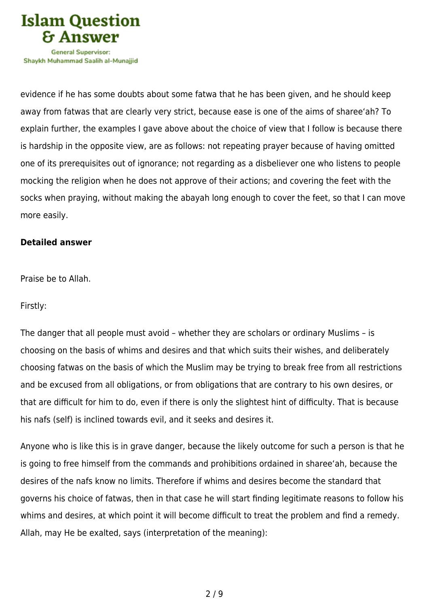

Shavkh Muhammad Saalih al-Munaiiid

evidence if he has some doubts about some fatwa that he has been given, and he should keep away from fatwas that are clearly very strict, because ease is one of the aims of sharee'ah? To explain further, the examples I gave above about the choice of view that I follow is because there is hardship in the opposite view, are as follows: not repeating prayer because of having omitted one of its prerequisites out of ignorance; not regarding as a disbeliever one who listens to people mocking the religion when he does not approve of their actions; and covering the feet with the socks when praying, without making the abayah long enough to cover the feet, so that I can move more easily.

## **Detailed answer**

Praise be to Allah.

Firstly:

The danger that all people must avoid – whether they are scholars or ordinary Muslims – is choosing on the basis of whims and desires and that which suits their wishes, and deliberately choosing fatwas on the basis of which the Muslim may be trying to break free from all restrictions and be excused from all obligations, or from obligations that are contrary to his own desires, or that are difficult for him to do, even if there is only the slightest hint of difficulty. That is because his nafs (self) is inclined towards evil, and it seeks and desires it.

Anyone who is like this is in grave danger, because the likely outcome for such a person is that he is going to free himself from the commands and prohibitions ordained in sharee'ah, because the desires of the nafs know no limits. Therefore if whims and desires become the standard that governs his choice of fatwas, then in that case he will start finding legitimate reasons to follow his whims and desires, at which point it will become difficult to treat the problem and find a remedy. Allah, may He be exalted, says (interpretation of the meaning):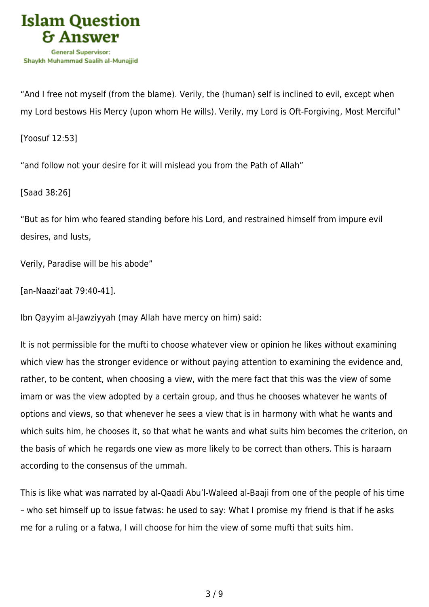

"And I free not myself (from the blame). Verily, the (human) self is inclined to evil, except when my Lord bestows His Mercy (upon whom He wills). Verily, my Lord is Oft-Forgiving, Most Merciful"

[Yoosuf 12:53]

"and follow not your desire for it will mislead you from the Path of Allah"

[Saad 38:26]

"But as for him who feared standing before his Lord, and restrained himself from impure evil desires, and lusts,

Verily, Paradise will be his abode"

[an-Naazi'aat 79:40-41].

Ibn Qayyim al-Jawziyyah (may Allah have mercy on him) said:

It is not permissible for the mufti to choose whatever view or opinion he likes without examining which view has the stronger evidence or without paying attention to examining the evidence and, rather, to be content, when choosing a view, with the mere fact that this was the view of some imam or was the view adopted by a certain group, and thus he chooses whatever he wants of options and views, so that whenever he sees a view that is in harmony with what he wants and which suits him, he chooses it, so that what he wants and what suits him becomes the criterion, on the basis of which he regards one view as more likely to be correct than others. This is haraam according to the consensus of the ummah.

This is like what was narrated by al-Qaadi Abu'l-Waleed al-Baaji from one of the people of his time – who set himself up to issue fatwas: he used to say: What I promise my friend is that if he asks me for a ruling or a fatwa, I will choose for him the view of some mufti that suits him.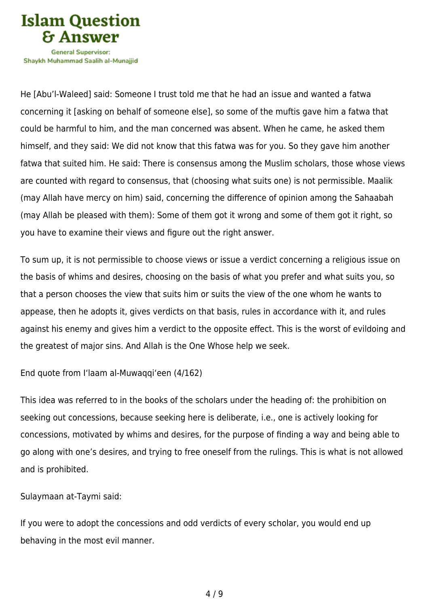

Shavkh Muhammad Saalih al-Munaiiid

He [Abu'l-Waleed] said: Someone I trust told me that he had an issue and wanted a fatwa concerning it [asking on behalf of someone else], so some of the muftis gave him a fatwa that could be harmful to him, and the man concerned was absent. When he came, he asked them himself, and they said: We did not know that this fatwa was for you. So they gave him another fatwa that suited him. He said: There is consensus among the Muslim scholars, those whose views are counted with regard to consensus, that (choosing what suits one) is not permissible. Maalik (may Allah have mercy on him) said, concerning the difference of opinion among the Sahaabah (may Allah be pleased with them): Some of them got it wrong and some of them got it right, so you have to examine their views and figure out the right answer.

To sum up, it is not permissible to choose views or issue a verdict concerning a religious issue on the basis of whims and desires, choosing on the basis of what you prefer and what suits you, so that a person chooses the view that suits him or suits the view of the one whom he wants to appease, then he adopts it, gives verdicts on that basis, rules in accordance with it, and rules against his enemy and gives him a verdict to the opposite effect. This is the worst of evildoing and the greatest of major sins. And Allah is the One Whose help we seek.

End quote from I'laam al-Muwaqqi'een (4/162)

This idea was referred to in the books of the scholars under the heading of: the prohibition on seeking out concessions, because seeking here is deliberate, i.e., one is actively looking for concessions, motivated by whims and desires, for the purpose of finding a way and being able to go along with one's desires, and trying to free oneself from the rulings. This is what is not allowed and is prohibited.

Sulaymaan at-Taymi said:

If you were to adopt the concessions and odd verdicts of every scholar, you would end up behaving in the most evil manner.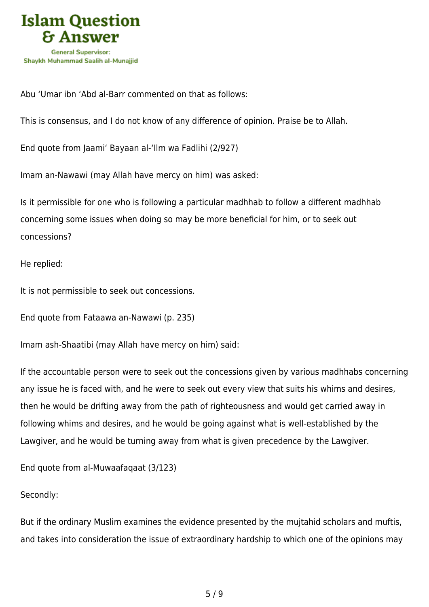

Abu 'Umar ibn 'Abd al-Barr commented on that as follows:

This is consensus, and I do not know of any difference of opinion. Praise be to Allah.

End quote from Jaami' Bayaan al-'Ilm wa Fadlihi (2/927)

Imam an-Nawawi (may Allah have mercy on him) was asked:

Is it permissible for one who is following a particular madhhab to follow a different madhhab concerning some issues when doing so may be more beneficial for him, or to seek out concessions?

He replied:

It is not permissible to seek out concessions.

End quote from Fataawa an-Nawawi (p. 235)

Imam ash-Shaatibi (may Allah have mercy on him) said:

If the accountable person were to seek out the concessions given by various madhhabs concerning any issue he is faced with, and he were to seek out every view that suits his whims and desires, then he would be drifting away from the path of righteousness and would get carried away in following whims and desires, and he would be going against what is well-established by the Lawgiver, and he would be turning away from what is given precedence by the Lawgiver.

End quote from al-Muwaafaqaat (3/123)

## Secondly:

But if the ordinary Muslim examines the evidence presented by the mujtahid scholars and muftis, and takes into consideration the issue of extraordinary hardship to which one of the opinions may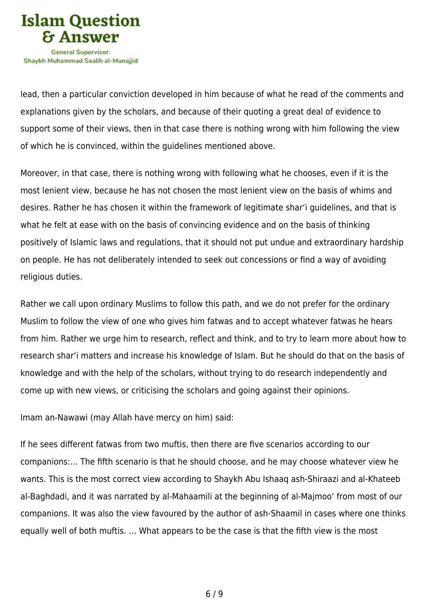

lead, then a particular conviction developed in him because of what he read of the comments and explanations given by the scholars, and because of their quoting a great deal of evidence to support some of their views, then in that case there is nothing wrong with him following the view of which he is convinced, within the guidelines mentioned above.

Moreover, in that case, there is nothing wrong with following what he chooses, even if it is the most lenient view, because he has not chosen the most lenient view on the basis of whims and desires. Rather he has chosen it within the framework of legitimate shar'i guidelines, and that is what he felt at ease with on the basis of convincing evidence and on the basis of thinking positively of Islamic laws and regulations, that it should not put undue and extraordinary hardship on people. He has not deliberately intended to seek out concessions or find a way of avoiding religious duties.

Rather we call upon ordinary Muslims to follow this path, and we do not prefer for the ordinary Muslim to follow the view of one who gives him fatwas and to accept whatever fatwas he hears from him. Rather we urge him to research, reflect and think, and to try to learn more about how to research shar'i matters and increase his knowledge of Islam. But he should do that on the basis of knowledge and with the help of the scholars, without trying to do research independently and come up with new views, or criticising the scholars and going against their opinions.

Imam an-Nawawi (may Allah have mercy on him) said:

If he sees different fatwas from two muftis, then there are five scenarios according to our companions:… The fifth scenario is that he should choose, and he may choose whatever view he wants. This is the most correct view according to Shaykh Abu Ishaaq ash-Shiraazi and al-Khateeb al-Baghdadi, and it was narrated by al-Mahaamili at the beginning of al-Majmoo' from most of our companions. It was also the view favoured by the author of ash-Shaamil in cases where one thinks equally well of both muftis. … What appears to be the case is that the fifth view is the most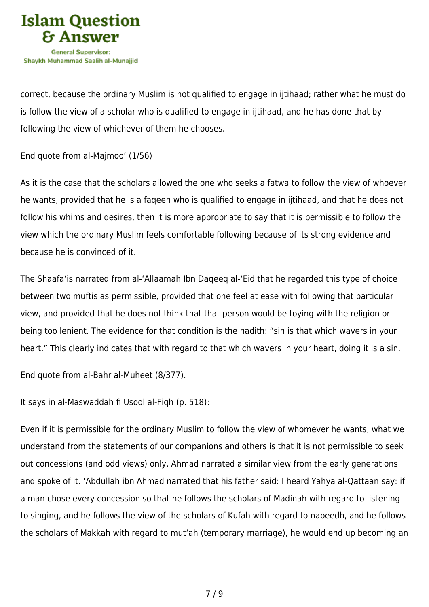

correct, because the ordinary Muslim is not qualified to engage in ijtihaad; rather what he must do is follow the view of a scholar who is qualified to engage in ijtihaad, and he has done that by following the view of whichever of them he chooses.

End quote from al-Majmoo' (1/56)

As it is the case that the scholars allowed the one who seeks a fatwa to follow the view of whoever he wants, provided that he is a faqeeh who is qualified to engage in ijtihaad, and that he does not follow his whims and desires, then it is more appropriate to say that it is permissible to follow the view which the ordinary Muslim feels comfortable following because of its strong evidence and because he is convinced of it.

The Shaafa'is narrated from al-'Allaamah Ibn Daqeeq al-'Eid that he regarded this type of choice between two muftis as permissible, provided that one feel at ease with following that particular view, and provided that he does not think that that person would be toying with the religion or being too lenient. The evidence for that condition is the hadith: "sin is that which wavers in your heart." This clearly indicates that with regard to that which wavers in your heart, doing it is a sin.

End quote from al-Bahr al-Muheet (8/377).

It says in al-Maswaddah fi Usool al-Fiqh (p. 518):

Even if it is permissible for the ordinary Muslim to follow the view of whomever he wants, what we understand from the statements of our companions and others is that it is not permissible to seek out concessions (and odd views) only. Ahmad narrated a similar view from the early generations and spoke of it. 'Abdullah ibn Ahmad narrated that his father said: I heard Yahya al-Qattaan say: if a man chose every concession so that he follows the scholars of Madinah with regard to listening to singing, and he follows the view of the scholars of Kufah with regard to nabeedh, and he follows the scholars of Makkah with regard to mut'ah (temporary marriage), he would end up becoming an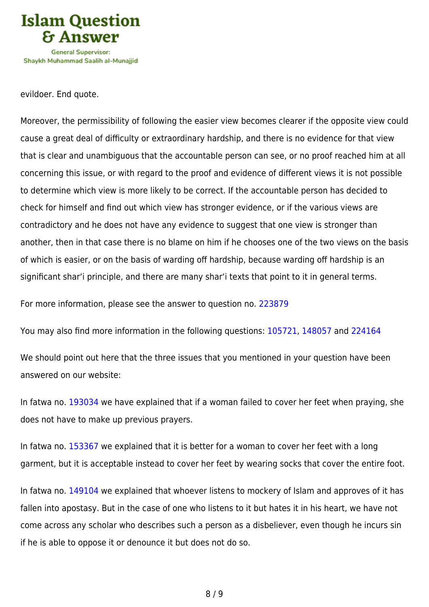

evildoer. End quote.

Moreover, the permissibility of following the easier view becomes clearer if the opposite view could cause a great deal of difficulty or extraordinary hardship, and there is no evidence for that view that is clear and unambiguous that the accountable person can see, or no proof reached him at all concerning this issue, or with regard to the proof and evidence of different views it is not possible to determine which view is more likely to be correct. If the accountable person has decided to check for himself and find out which view has stronger evidence, or if the various views are contradictory and he does not have any evidence to suggest that one view is stronger than another, then in that case there is no blame on him if he chooses one of the two views on the basis of which is easier, or on the basis of warding off hardship, because warding off hardship is an significant shar'i principle, and there are many shar'i texts that point to it in general terms.

For more information, please see the answer to question no. [223879](https://islamqa.com/ar/answers/)

You may also find more information in the following questions: [105721](https://islamqa.com/en/answers/105721), [148057](https://islamqa.com/ar/answers/) and [224164](https://islamqa.com/en/answers/224164)

We should point out here that the three issues that you mentioned in your question have been answered on our website:

In fatwa no. [193034](https://islamqa.com/en/answers/193034) we have explained that if a woman failed to cover her feet when praying, she does not have to make up previous prayers.

In fatwa no. [153367](https://islamqa.com/en/answers/153367) we explained that it is better for a woman to cover her feet with a long garment, but it is acceptable instead to cover her feet by wearing socks that cover the entire foot.

In fatwa no. [149104](https://islamqa.com/en/answers/149104) we explained that whoever listens to mockery of Islam and approves of it has fallen into apostasy. But in the case of one who listens to it but hates it in his heart, we have not come across any scholar who describes such a person as a disbeliever, even though he incurs sin if he is able to oppose it or denounce it but does not do so.